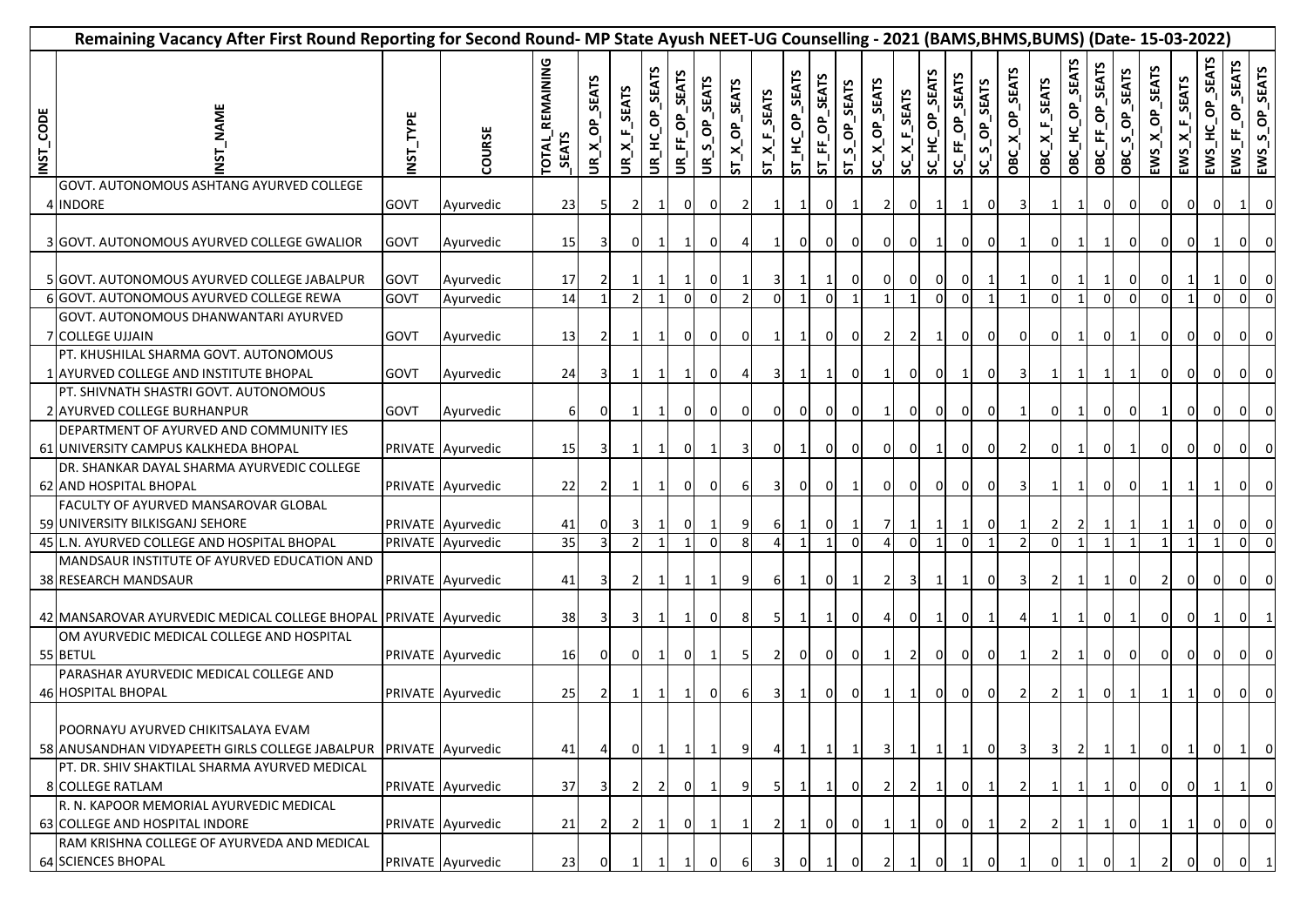|           | Remaining Vacancy After First Round Reporting for Second Round- MP State Ayush NEET-UG Counselling - 2021 (BAMS,BHMS,BUMS) (Date- 15-03-2022) |                            |                                        |                                 |                          |                                                                    |                    |                             |                                                                                                      |                |                 |                    |                                |                       |                         |                            |                   |                                |               |                |                         |                                |                            |                   |                                         |                                    |                          |                 |                |
|-----------|-----------------------------------------------------------------------------------------------------------------------------------------------|----------------------------|----------------------------------------|---------------------------------|--------------------------|--------------------------------------------------------------------|--------------------|-----------------------------|------------------------------------------------------------------------------------------------------|----------------|-----------------|--------------------|--------------------------------|-----------------------|-------------------------|----------------------------|-------------------|--------------------------------|---------------|----------------|-------------------------|--------------------------------|----------------------------|-------------------|-----------------------------------------|------------------------------------|--------------------------|-----------------|----------------|
| INST_CODE | <b>NAME</b>                                                                                                                                   | NST_TYPE                   | COURSE                                 | TOTAL_REMAINING<br><b>SEATS</b> | SEATS<br>ô.<br>$UR_{X}X$ | <b>SEATS</b><br>$\mathbf{u}_i$<br>$\times$<br>$\tilde{\mathbf{e}}$ | UR_HC_OP_SEATS     | UR_FF_OP_SEATS              | <b>SEATS</b><br>$\sigma$ <sup><math>\sigma</math></sup><br>$\mathbf{v}$<br>$\boldsymbol{\tilde{s}}'$ | ST_X_OP_SEATS  | $ST\_X_F_SERTS$ | SEATS<br>ST_HC_OP_ | ST_FF_OP_SEATS                 | ST_S_OP_SEATS         | SC_X_OP_SEATS           | $SC\_X_F$ <sub>SEATS</sub> | SC_HC_OP_SEATS    | SC_FF_OP_SEATS                 | SC_S_OP_SEATS | OBC_X_OP_SEATS | OBC_X_F_SEATS           | OBC_HC_OP_SEATS                | <b>SEATS</b><br>OBC_FF_OP_ | S_OP_SEATS<br>OBC | <b>SEATS</b><br>$EWS_{\_}X_{\_}OP_{\_}$ | $EWS_{\_}$ $K_{\_}$ $E_{\_}$ SEATS | EWS_HC_OP_SEATS          | EWS_FF_OP_SEATS | EWS_S_OP_SEATS |
|           | GOVT. AUTONOMOUS ASHTANG AYURVED COLLEGE<br>4 INDORE                                                                                          | <b>GOVT</b>                | Ayurvedic                              | 23                              | 51                       |                                                                    |                    | 01                          | 0                                                                                                    | $\overline{2}$ |                 | 1                  | $\overline{0}$                 | 1                     | <b>2</b>                | 0                          | 1                 | 1                              | ΟI            |                |                         | 1                              | 0                          | 0I                | $\overline{0}$                          | $\Omega$                           | 0I                       |                 | 0              |
|           | 3 GOVT. AUTONOMOUS AYURVED COLLEGE GWALIOR                                                                                                    | <b>GOVT</b>                | Ayurvedic                              | 15                              | 31                       | ΟI                                                                 |                    | $\mathbf{1}$                | 0                                                                                                    |                |                 | 0                  | $\overline{0}$                 | $\overline{0}$        | οI                      | $\overline{0}$             | 1                 | $\overline{0}$                 | 0I            |                | 0                       | 1                              |                            | 0I                | $\overline{0}$                          | ΟI                                 | 1                        | $\overline{0}$  | 0              |
|           | 5 GOVT. AUTONOMOUS AYURVED COLLEGE JABALPUR<br>6 GOVT. AUTONOMOUS AYURVED COLLEGE REWA                                                        | <b>GOVT</b><br><b>GOVT</b> | Ayurvedic<br>Ayurvedic                 | 17<br>14                        |                          |                                                                    |                    | $\vert$ 1<br>$\overline{0}$ | 0<br>$\Omega$                                                                                        | $\overline{2}$ | ΩI              |                    | $\mathbf{1}$<br>$\overline{0}$ | 0<br>1                | 01<br>$\mathbf{1}$      | $\overline{0}$<br>1        | 0<br>$\mathbf{0}$ | $\overline{0}$<br>$\Omega$     |               |                | 0<br>$\mathbf 0$        | 1                              | 1<br>$\mathbf{0}$          | ΟI<br>$\Omega$    | 0<br>$\Omega$                           | -1                                 | $\mathbf{1}$<br>$\Omega$ | $\Omega$        | 0<br>$\Omega$  |
|           | GOVT. AUTONOMOUS DHANWANTARI AYURVED<br><b>7 COLLEGE UJJAIN</b>                                                                               | <b>GOVT</b>                | Ayurvedic                              | 13                              |                          |                                                                    |                    | 01                          | 0                                                                                                    | ΟI             |                 |                    | $\overline{0}$                 | 0                     | $\overline{2}$          | $\overline{2}$             | 1                 | 0                              | <sup>O</sup>  | 0              | 0                       | 1                              | 0                          | -1                | $\mathbf 0$                             | 01                                 | οI                       | ΟI              | 0              |
|           | PT. KHUSHILAL SHARMA GOVT. AUTONOMOUS<br>1 AYURVED COLLEGE AND INSTITUTE BHOPAL                                                               | GOVT                       | Ayurvedic                              | 24                              |                          |                                                                    | $\mathbf{1}$       | $\mathbf{1}$                | 0                                                                                                    |                |                 | -1 I               | $\vert$ 1                      | 0                     | -11                     | 0                          | 01                | $\mathbf{1}$                   | 01            | 3              |                         | 1                              | 1                          |                   | 0                                       | 01                                 | οI                       | ΟI              | 0              |
|           | PT. SHIVNATH SHASTRI GOVT. AUTONOMOUS<br>2 AYURVED COLLEGE BURHANPUR<br>DEPARTMENT OF AYURVED AND COMMUNITY IES                               | GOVT                       | Ayurvedic                              | 6                               | 0                        |                                                                    | $\mathbf{1}$       | οI                          | 0                                                                                                    | 01             | 01              | 0I                 | $\overline{0}$                 | 0                     | $\mathbf{1}$            | 0                          | 0                 | $\mathbf 0$                    | ΟI            |                | 0                       | 1                              | 01                         | 0I                |                                         | ΟI                                 | οI                       | ΟI              | 0              |
|           | 61 UNIVERSITY CAMPUS KALKHEDA BHOPAL<br>DR. SHANKAR DAYAL SHARMA AYURVEDIC COLLEGE                                                            |                            | PRIVATE Ayurvedic                      | 15                              | 3I                       |                                                                    | $\mathbf{1}$       | 0I                          | 1                                                                                                    | $\overline{3}$ | $\Omega$        |                    | $\overline{0}$                 | 0                     | ΟI                      | $\overline{0}$             | 1                 | $\mathbf 0$                    | 0I            | $\overline{2}$ | 0                       | 1                              | 01                         | -1                | 0                                       | ΟI                                 | $\overline{\mathbf{0}}$  | 01              | 0              |
|           | 62 AND HOSPITAL BHOPAL<br>FACULTY OF AYURVED MANSAROVAR GLOBAL                                                                                |                            | PRIVATE Ayurvedic                      | 22                              |                          |                                                                    | $\mathbf{1}$       | 0I                          | 0                                                                                                    | 61             | 31              | 0I                 | $\overline{0}$                 | $\mathbf{1}$          | οı                      | οI                         | οI                | $\mathbf{0}$                   | 0I            | 3              |                         | 1                              | 01                         | ΟI                | $\mathbf{1}$                            |                                    | $\mathbf{1}$             | 0               |                |
|           | 59 UNIVERSITY BILKISGANJ SEHORE                                                                                                               |                            | PRIVATE Ayurvedic                      | 41<br>35                        | $\overline{3}$           | 3<br>$\mathfrak{p}$                                                | 11<br>$\mathbf{1}$ | 0I<br>$\mathbf{1}$          | $\mathbf{1}$<br>$\mathbf 0$                                                                          | 91<br>8        | 61<br>4         | $\mathbf{1}$       | $\overline{0}$<br>$\mathbf{1}$ | $\vert$ 1<br>$\Omega$ | 71<br>$\Delta$          | $1\vert$<br>$\overline{0}$ | 1<br>$\mathbf{1}$ | $\mathbf{1}$<br>$\overline{0}$ | ΟI<br>- 1     | $\overline{2}$ | $\overline{2}$<br>0     | $\overline{2}$<br>$\mathbf{1}$ | $\vert$ 1<br>$\mathbf{1}$  | 1                 | $\mathbf{1}$                            | $\overline{1}$                     | $\overline{\mathbf{0}}$  | ΟI<br>οI        | 0<br>$\Omega$  |
|           | 45 L.N. AYURVED COLLEGE AND HOSPITAL BHOPAL<br>MANDSAUR INSTITUTE OF AYURVED EDUCATION AND<br>38 RESEARCH MANDSAUR                            |                            | PRIVATE Ayurvedic<br>PRIVATE Ayurvedic | 41                              | 31                       | $\overline{2}$                                                     | 11                 | -11                         | 1                                                                                                    | 91             | 6               | <sup>1</sup>       | $\overline{0}$                 | $\mathbf{1}$          | $\overline{2}$          | 3 <sup>l</sup>             | 1                 | $\mathbf{1}$                   | ΟI            | 3              | $\overline{2}$          | 1                              | -11                        | 0I                | $\overline{2}$                          | 01                                 | $\overline{\mathbf{0}}$  | $\overline{0}$  | 0              |
|           | 42 MANSAROVAR AYURVEDIC MEDICAL COLLEGE BHOPAL PRIVATE Ayurvedic                                                                              |                            |                                        | 38                              | 31                       | 31                                                                 | 11                 | $\mathbf{1}$                | 0l                                                                                                   | 81             | 51              | <sup>1</sup>       | $\vert$ 1                      | οI                    | 4                       | $\overline{0}$             | 1                 | $\overline{0}$                 |               | 4              | 1                       | 1                              | 0 I                        |                   | οI                                      | ΟI                                 | $\mathbf{1}$             | 01              |                |
|           | OM AYURVEDIC MEDICAL COLLEGE AND HOSPITAL<br>55 BETUL                                                                                         |                            | PRIVATE Ayurvedic                      | 16                              |                          | οI                                                                 | $\vert$ 1          | 0I                          | 1                                                                                                    | -5 I           | 2I              | ΟI                 | $\overline{0}$                 | οI                    | -11                     | $\overline{2}$             | οI                | $\overline{0}$                 | ΟI            |                | 2                       | 1                              | 0I                         | 0 I               | οI                                      | ΟI                                 | 0I                       | 01              | 0              |
|           | PARASHAR AYURVEDIC MEDICAL COLLEGE AND<br>46 HOSPITAL BHOPAL                                                                                  |                            | PRIVATE Ayurvedic                      | 25                              |                          |                                                                    | 11                 | $\vert$ 1                   | 0                                                                                                    | 61             | 31              | $\mathbf{1}$       | $\overline{0}$                 | 0I                    | $\mathbf{1}$            | $\mathbf{1}$               | οI                | $\mathbf{0}$                   | 0I            | $\overline{2}$ | $\overline{2}$          | 1                              | 0 I                        | -1                |                                         |                                    | 0I                       | 01              | 0              |
|           | POORNAYU AYURVED CHIKITSALAYA EVAM<br>58 ANUSANDHAN VIDYAPEETH GIRLS COLLEGE JABALPUR                                                         |                            | PRIVATE Ayurvedic                      | 41                              |                          | οI                                                                 | $\mathbf{1}$       | $\vert$ 1                   | $\mathbf{1}$                                                                                         | 91             | 4               | $\vert$ 1          | $\overline{1}$                 | $\mathbf{1}$          | $\overline{\mathbf{3}}$ | $\mathbf{1}$               | 1                 | $\mathbf{1}$                   | 0             | 3I             | $\overline{\mathbf{3}}$ | $\overline{2}$                 | $\mathbf{1}$               | -1                | 0I                                      | 1                                  | 0I                       | $\vert$ 1       | 0              |
|           | PT. DR. SHIV SHAKTILAL SHARMA AYURVED MEDICAL<br>8 COLLEGE RATLAM                                                                             |                            | PRIVATE Ayurvedic                      | 37                              | $\overline{3}$           | $\overline{2}$                                                     | <b>21</b>          | 0l                          | -1                                                                                                   |                |                 | $\mathbf{1}$       | $\mathbf{1}$                   | 0                     | <sup>2</sup>            | $\overline{2}$             | 1                 | $\Omega$                       |               | $\overline{2}$ |                         | $\mathbf 1$                    |                            | $\Omega$          | $\Omega$                                | 0 I                                |                          |                 | $\mathbf 0$    |
|           | R. N. KAPOOR MEMORIAL AYURVEDIC MEDICAL<br>63 COLLEGE AND HOSPITAL INDORE<br>RAM KRISHNA COLLEGE OF AYURVEDA AND MEDICAL                      |                            | PRIVATE Ayurvedic                      | 21                              | 2                        | 2                                                                  |                    | ΟI                          |                                                                                                      |                |                 |                    | $\overline{0}$                 | 0                     | 1                       | $\mathbf{1}$               | $\mathbf{0}$      | $\overline{0}$                 |               | 2              | 2                       | $\mathbf 1$                    |                            | 0l                |                                         |                                    | οI                       | 01              | 0              |
|           | <b>64 SCIENCES BHOPAL</b>                                                                                                                     |                            | PRIVATE Ayurvedic                      | 23                              |                          |                                                                    |                    |                             |                                                                                                      |                |                 |                    |                                |                       |                         |                            | $\Omega$          |                                |               |                |                         |                                |                            |                   |                                         |                                    | 01                       |                 | $\overline{1}$ |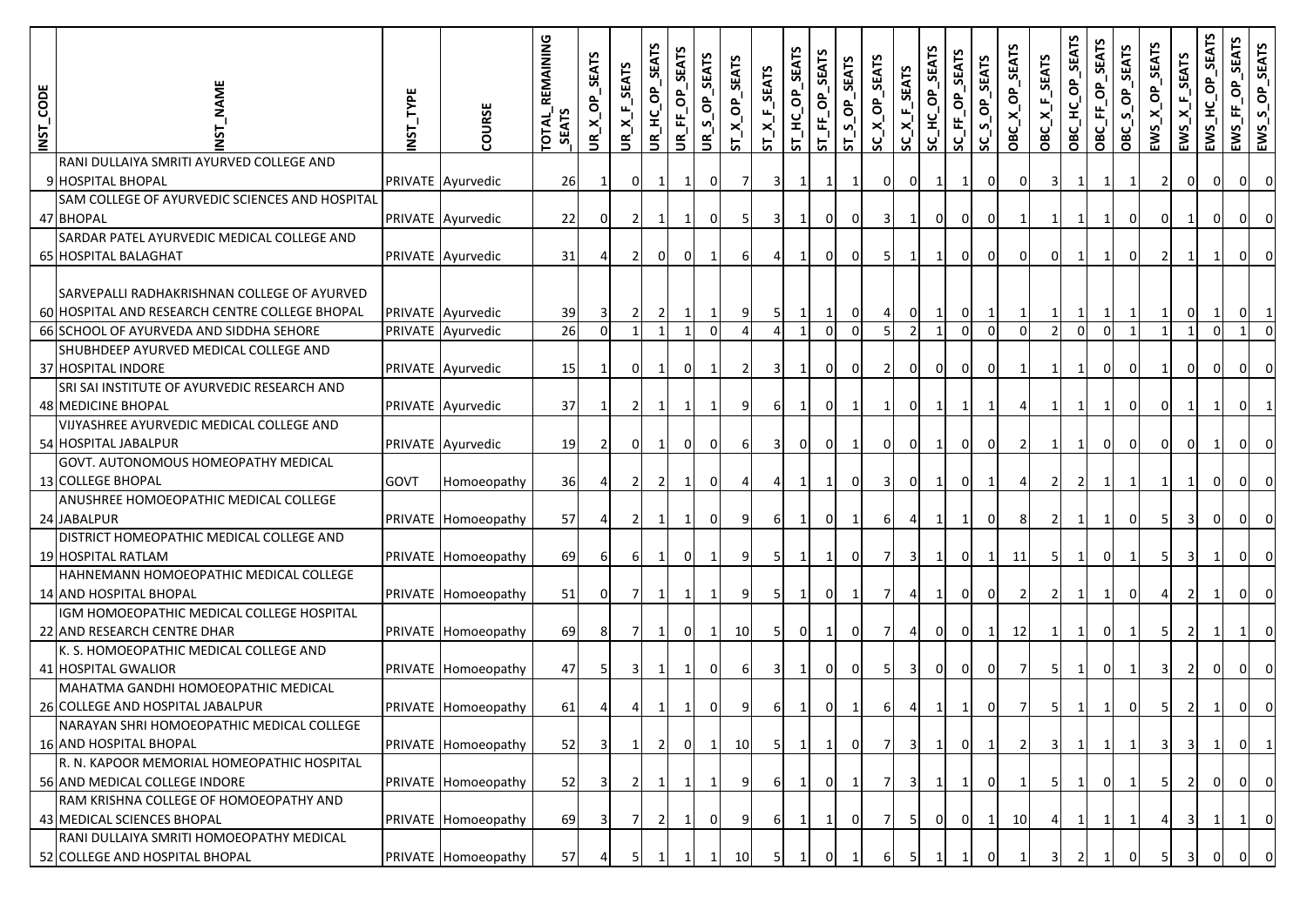| INST_CODE | <b>AME</b>                                                            | NST_TYPE | COURSE              | <b>REMAINING</b><br><b>LATOT</b><br><b>SEATS</b> | <b>SEATS</b><br>$\sigma$<br>$UR_{I}X_{I}$ | UR_X_F_SEATS   | UR_HC_OP_SEATS | UR_FF_OP_SEATS | UR_S_OP_SEATS  | SEATS<br>$ST_X$ OP | $ST_A_E_SERTS$ | ST_HC_OP_SEATS | SEATS<br>$ST$ FF OP | ST_S_OP_SEATS  | OP_SEATS<br>$SC_{\overline{X}}$ | $SC\_X_F$ <sub>SEATS</sub> | SC_HC_OP_SEATS | SC_FF_OP_SEATS | SC_S_OP_SEATS  | SEATS<br>$\sigma$<br>OBC_X_ | <b>SEATS</b><br>$OBC_XX$ | SEATS<br>OBC_HC_OP | OBC_FF_OP_SEATS | SEATS<br>OBC_S_OP_ | <b>SEATS</b><br>රි <sub>.</sub><br>ENS | $EWS_{\text{A}}F_{\text{SEATS}}$ | SEATS<br>ô,<br>ں<br>=<br>EWS. | EWS_FF_OP_SEATS | EWS_S_OP_SEATS |
|-----------|-----------------------------------------------------------------------|----------|---------------------|--------------------------------------------------|-------------------------------------------|----------------|----------------|----------------|----------------|--------------------|----------------|----------------|---------------------|----------------|---------------------------------|----------------------------|----------------|----------------|----------------|-----------------------------|--------------------------|--------------------|-----------------|--------------------|----------------------------------------|----------------------------------|-------------------------------|-----------------|----------------|
|           | RANI DULLAIYA SMRITI AYURVED COLLEGE AND                              |          |                     |                                                  |                                           |                |                |                |                |                    |                |                |                     |                |                                 |                            |                |                |                |                             |                          |                    |                 |                    |                                        |                                  |                               |                 |                |
|           | 9 HOSPITAL BHOPAL                                                     |          | PRIVATE Ayurvedic   | 26                                               |                                           | οI             | -1             | $\mathbf{1}$   | $\overline{0}$ |                    | 3              | $\mathbf{1}$   | 1                   |                | 01                              | 0                          |                | -1             | $\mathbf 0$    | 01                          | 3I                       |                    | 1               | 1                  | $\overline{2}$                         | $\overline{0}$                   | $\overline{0}$                | $\overline{0}$  | $\overline{0}$ |
|           | SAM COLLEGE OF AYURVEDIC SCIENCES AND HOSPITAL<br>47 BHOPAL           |          | PRIVATE Ayurvedic   | 22                                               |                                           |                |                | $\mathbf{1}$   | $\Omega$       |                    | 3              | 1              |                     |                |                                 |                            | 0              | $\mathbf{0}$   | 0              |                             |                          |                    | 1               | $\overline{0}$     | <sup>O</sup>                           | 1                                | 0                             | 0               | $\Omega$       |
|           | SARDAR PATEL AYURVEDIC MEDICAL COLLEGE AND                            |          |                     |                                                  |                                           |                |                |                |                |                    |                |                |                     |                |                                 |                            |                |                |                |                             |                          |                    |                 |                    |                                        |                                  |                               |                 |                |
|           | 65 HOSPITAL BALAGHAT                                                  |          | PRIVATE Ayurvedic   | 31                                               |                                           |                | 0              |                |                |                    |                | 1              | $\Omega$            | 0              |                                 |                            |                | 0I             | $\overline{0}$ | 01                          | $\Omega$                 |                    |                 | $\overline{0}$     | $\overline{2}$                         | 1                                | $\mathbf{1}$                  | $\overline{0}$  | $\overline{0}$ |
|           |                                                                       |          |                     |                                                  |                                           |                |                |                |                |                    |                |                |                     |                |                                 |                            |                |                |                |                             |                          |                    |                 |                    |                                        |                                  |                               |                 |                |
|           | SARVEPALLI RADHAKRISHNAN COLLEGE OF AYURVED                           |          |                     |                                                  |                                           |                |                |                |                |                    |                |                |                     |                |                                 |                            |                |                |                |                             |                          |                    |                 |                    |                                        |                                  |                               |                 |                |
|           | 60 HOSPITAL AND RESEARCH CENTRE COLLEGE BHOPAL                        |          | PRIVATE Ayurvedic   | 39                                               |                                           | $\overline{2}$ |                | $\mathbf{1}$   |                | 91                 | 5              | $\mathbf{1}$   |                     | $\overline{0}$ |                                 |                            |                | 0              |                |                             |                          |                    |                 |                    |                                        | $\overline{0}$                   | $\mathbf{1}$                  | $\overline{0}$  | $\mathbf{1}$   |
|           | 66 SCHOOL OF AYURVEDA AND SIDDHA SEHORE                               |          | PRIVATE Ayurvedic   | 26                                               | $\Omega$                                  |                |                | 1              | $\Omega$       |                    | $\Delta$       | $\mathbf{1}$   | $\Omega$            | $\Omega$       | $5 \mid$                        |                            | $\mathbf{1}$   | $\Omega$       | $\overline{0}$ | $\overline{0}$              |                          | $\mathbf{0}$       | $\overline{0}$  |                    |                                        | $\mathbf{1}$                     | $\Omega$                      |                 | $\Omega$       |
|           | SHUBHDEEP AYURVED MEDICAL COLLEGE AND                                 |          |                     |                                                  |                                           |                |                |                |                |                    |                |                |                     |                |                                 |                            |                |                |                |                             |                          |                    |                 |                    |                                        |                                  |                               |                 |                |
|           | 37 HOSPITAL INDORE                                                    |          | PRIVATE Ayurvedic   | 15                                               |                                           | ΟI             |                | 01             |                |                    | 3              | $\mathbf{1}$   | $\mathbf{0}$        | 0              |                                 | 0                          | $\overline{0}$ | $\overline{0}$ | 0              |                             |                          |                    | $\overline{0}$  | $\overline{0}$     | 1 <sup>1</sup>                         | $\overline{0}$                   | $\overline{0}$                | $\overline{0}$  | $\overline{0}$ |
|           | SRI SAI INSTITUTE OF AYURVEDIC RESEARCH AND                           |          |                     |                                                  |                                           |                |                |                |                |                    |                |                |                     |                |                                 |                            |                |                |                |                             |                          |                    |                 |                    |                                        |                                  |                               |                 |                |
|           | 48 MEDICINE BHOPAL<br><b>VIJYASHREE AYURVEDIC MEDICAL COLLEGE AND</b> |          | PRIVATE Ayurvedic   | 37                                               |                                           | $\overline{2}$ |                | 1              |                | 9                  | 61             | $\mathbf{1}$   | 0                   |                |                                 | 0                          |                |                |                |                             |                          |                    |                 | 0                  | 0                                      |                                  |                               | 0               |                |
|           | 54 HOSPITAL JABALPUR                                                  |          | PRIVATE Ayurvedic   | 19                                               |                                           | ΟI             |                | $\mathbf 0$    | $\overline{0}$ | 61                 | $\overline{3}$ | $\overline{0}$ | $\overline{0}$      |                | 0                               | $\overline{0}$             |                | $\overline{0}$ | $\mathbf 0$    | $\overline{2}$              | 1                        |                    | $\mathbf{0}$    | 0                  | $\overline{0}$                         | $\overline{0}$                   | $\mathbf{1}$                  | 0               | $\overline{0}$ |
|           | GOVT. AUTONOMOUS HOMEOPATHY MEDICAL                                   |          |                     |                                                  |                                           |                |                |                |                |                    |                |                |                     |                |                                 |                            |                |                |                |                             |                          |                    |                 |                    |                                        |                                  |                               |                 |                |
|           | 13 COLLEGE BHOPAL                                                     | GOVT     | Homoeopathy         | 36                                               | 4                                         | $\overline{2}$ | $\overline{2}$ | $\mathbf{1}$   | $\overline{0}$ |                    |                | 1              |                     | 0              | 31                              | 0                          |                | 01             |                |                             |                          | $\overline{2}$     | $\vert$ 1       | 1                  |                                        | 1                                | $\overline{0}$                | 0               | $\overline{0}$ |
|           | ANUSHREE HOMOEOPATHIC MEDICAL COLLEGE                                 |          |                     |                                                  |                                           |                |                |                |                |                    |                |                |                     |                |                                 |                            |                |                |                |                             |                          |                    |                 |                    |                                        |                                  |                               |                 |                |
|           | 24 JABALPUR                                                           |          | PRIVATE Homoeopathy | 57                                               |                                           |                |                | $\mathbf{1}$   | $\overline{0}$ | 91                 | 61             | $\mathbf{1}$   | 0                   |                | 61                              |                            |                |                | 0              | 8                           |                          |                    | $\mathbf{1}$    | $\overline{0}$     | 51                                     | $\overline{\mathbf{3}}$          | $\overline{0}$                | 0               | 0              |
|           | DISTRICT HOMEOPATHIC MEDICAL COLLEGE AND                              |          |                     |                                                  |                                           |                |                |                |                |                    |                |                |                     |                |                                 |                            |                |                |                |                             |                          |                    |                 |                    |                                        |                                  |                               |                 |                |
|           | 19 HOSPITAL RATLAM                                                    |          | PRIVATE Homoeopathy | 69                                               | 61                                        | 61             |                | $\Omega$       |                | 91                 | -5             | 1              | 1                   | 0              |                                 | 3                          |                | $\overline{0}$ | $\mathbf{1}$   | 11                          | 51                       |                    | $\mathbf{0}$    | $\mathbf{1}$       | 5                                      | -3 I                             | $\mathbf{1}$                  | 0               | $\Omega$       |
|           | HAHNEMANN HOMOEOPATHIC MEDICAL COLLEGE                                |          |                     |                                                  |                                           |                |                |                |                |                    |                |                |                     |                |                                 |                            |                |                |                |                             |                          |                    |                 |                    |                                        |                                  |                               |                 |                |
|           | 14 AND HOSPITAL BHOPAL                                                |          | PRIVATE Homoeopathy | 51                                               | ΩI                                        |                |                | 1              |                | 9                  | 5              | 1              | 0                   |                |                                 |                            |                | $\overline{0}$ | $\mathbf 0$    |                             |                          |                    | $\mathbf{1}$    | $\overline{0}$     |                                        | 2                                |                               | 0               | $\Omega$       |
|           | IGM HOMOEOPATHIC MEDICAL COLLEGE HOSPITAL                             |          |                     |                                                  |                                           |                |                |                |                |                    |                |                |                     |                |                                 |                            |                |                |                |                             |                          |                    |                 |                    |                                        |                                  |                               |                 |                |
|           | 22 AND RESEARCH CENTRE DHAR                                           |          | PRIVATE Homoeopathy | 69                                               | 81                                        | 7              |                | $\Omega$       | $\mathbf{1}$   | 10                 | -5             | $\overline{0}$ | 1                   | <sup>O</sup>   |                                 |                            | 0              | οI             | $\mathbf{1}$   | 12                          | 1                        |                    | οI              | $\mathbf{1}$       | 5 <sub>l</sub>                         | <sup>2</sup>                     | $\mathbf{1}$                  | -1              | $\Omega$       |
|           | K. S. HOMOEOPATHIC MEDICAL COLLEGE AND                                |          |                     |                                                  |                                           |                |                |                |                |                    |                |                |                     |                |                                 |                            |                |                |                |                             |                          |                    |                 |                    |                                        |                                  |                               |                 |                |
|           | 41 HOSPITAL GWALIOR                                                   |          | PRIVATE Homoeopathy | 47                                               |                                           | 3              |                | $\mathbf{1}$   | $\overline{0}$ | 61                 | 3              | 1              | 0                   | <sup>O</sup>   |                                 | 3                          | 0              | οI             | 0              | $\overline{7}$              |                          |                    | 01              | 1                  | 31                                     | $\overline{2}$                   | 0                             | 0               | $\Omega$       |
|           | MAHATMA GANDHI HOMOEOPATHIC MEDICAL                                   |          |                     |                                                  |                                           |                |                |                |                |                    |                |                |                     |                |                                 |                            |                |                |                |                             |                          |                    |                 |                    |                                        |                                  |                               |                 |                |
|           | 26 COLLEGE AND HOSPITAL JABALPUR                                      |          | PRIVATE Homoeopathy | 61                                               |                                           |                |                |                | 01             |                    | 61             | 1              |                     |                |                                 |                            |                |                | 0              | 7                           |                          |                    |                 | $\overline{0}$     | 51                                     |                                  |                               |                 |                |
|           | NARAYAN SHRI HOMOEOPATHIC MEDICAL COLLEGE<br>16 AND HOSPITAL BHOPAL   |          | PRIVATE Homoeopathy | 52                                               | 31                                        | -1             | <b>21</b>      | $\Omega$       | $\mathbf{1}$   | 10                 | -5 I           | <sup>1</sup>   | 1                   | ΟI             | 7                               | 3                          | $\vert$ 1      | 01             | $\mathbf{1}$   | $\overline{2}$              | 3I                       | $\mathbf{1}$       | $\vert$ 1       | 1                  | 31                                     | -3 I                             | $\mathbf{1}$                  | 0               | $\vert$ 1      |
|           | R. N. KAPOOR MEMORIAL HOMEOPATHIC HOSPITAL                            |          |                     |                                                  |                                           |                |                |                |                |                    |                |                |                     |                |                                 |                            |                |                |                |                             |                          |                    |                 |                    |                                        |                                  |                               |                 |                |
|           | 56 AND MEDICAL COLLEGE INDORE                                         |          | PRIVATE Homoeopathy | 52                                               |                                           | 2              |                | $\mathbf{1}$   | -1             | 9                  | 61             | $\mathbf{1}$   | 0                   |                |                                 | 3                          | $\vert$ 1      | 1              | $\mathbf{0}$   | $\mathbf{1}$                | 51                       | $\mathbf{1}$       | 0 I             | <sup>1</sup>       | 51                                     | $\overline{2}$                   | οı                            | $\overline{0}$  | $\overline{0}$ |
|           | RAM KRISHNA COLLEGE OF HOMOEOPATHY AND                                |          |                     |                                                  |                                           |                |                |                |                |                    |                |                |                     |                |                                 |                            |                |                |                |                             |                          |                    |                 |                    |                                        |                                  |                               |                 |                |
|           | 43 MEDICAL SCIENCES BHOPAL                                            |          | PRIVATE Homoeopathy | 69                                               | 31                                        | 7              | $\overline{2}$ | $\mathbf{1}$   | $\mathbf{0}$   | 91                 | 61             | <sup>1</sup>   | $\mathbf{1}$        | οı             |                                 | -51                        | $\overline{0}$ | $\overline{0}$ | 1              | 10                          | 41                       | $\mathbf{1}$       | $\vert$ 1       | $\mathbf{1}$       | 41                                     | $\overline{\mathbf{3}}$          | $1\vert$                      | $\mathbf{1}$    | $\overline{0}$ |
|           | RANI DULLAIYA SMRITI HOMOEOPATHY MEDICAL                              |          |                     |                                                  |                                           |                |                |                |                |                    |                |                |                     |                |                                 |                            |                |                |                |                             |                          |                    |                 |                    |                                        |                                  |                               |                 |                |
|           | 52 COLLEGE AND HOSPITAL BHOPAL                                        |          | PRIVATE Homoeopathy | 57                                               |                                           |                |                |                |                | 10                 |                |                |                     |                |                                 |                            |                |                |                |                             |                          |                    |                 |                    |                                        |                                  | 0                             |                 | 0              |